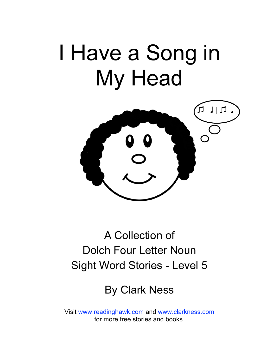# I Have a Song in My Head



## A Collection of Dolch Four Letter Noun Sight Word Stories - Level 5

### By Clark Ness

Visit [www.readinghawk.com](http://www.readinghawk.com) and [www.clarkness.com](http://www.clarkness.com) for more free stories and books.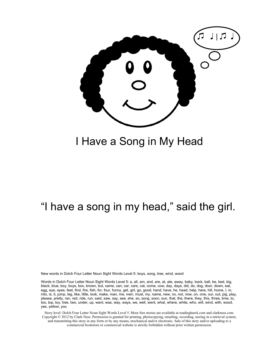

#### I Have a Song in My Head

#### "I have a song in my head," said the girl.

New words in Dolch Four Letter Noun Sight Words Level 5: boys, song, tree, wind, wood

Words in Dolch Four Letter Noun Sight Words Level 5: a, all, am, and, are, at, ate, away, baby, back, ball, be, bed, big, black, blue, boy, boys, box, brown, but, came, can, car, cars, cat, come, cow, day, days, did, do, dog, door, down, eat, egg, eye, eyes, feet, find, fire, fish, for, four, funny, get, girl, go, good, hand, have, he, head, help, here, hill, home, I, in, into, is, it, jump, leg, like, little, look, make, man, me, men, must, my, name, new, no, not, now, on, one, our, out, pig, play, please, pretty, ran, red, ride, run, said, saw, say, see, she, so, song, soon, sun, that, the, there, they, this, three, time, to, too, top, toy, tree, two, under, up, want, was, way, ways, we, well, went, what, where, white, who, will, wind, with, wood, yes, yellow, you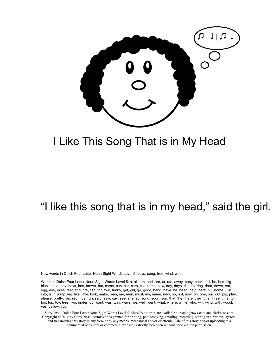

#### I Like This Song That is in My Head

#### "I like this song that is in my head," said the girl.

New words in Dolch Four Letter Noun Sight Words Level 5: boys, song, tree, wind, wood

Words in Dolch Four Letter Noun Sight Words Level 5: a, all, am, and, are, at, ate, away, baby, back, ball, be, bed, big, black, blue, boy, boys, box, brown, but, came, can, car, cars, cat, come, cow, day, days, did, do, dog, door, down, eat, egg, eye, eyes, feet, find, fire, fish, for, four, funny, get, girl, go, good, hand, have, he, head, help, here, hill, home, I, in, into, is, it, jump, leg, like, little, look, make, man, me, men, must, my, name, new, no, not, now, on, one, our, out, pig, play, please, pretty, ran, red, ride, run, said, saw, say, see, she, so, song, soon, sun, that, the, there, they, this, three, time, to, too, top, toy, tree, two, under, up, want, was, way, ways, we, well, went, what, where, white, who, will, wind, with, wood, yes, yellow, you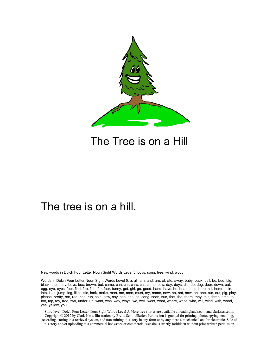

#### The Tree is on a Hill

#### The tree is on a hill.

New words in Dolch Four Letter Noun Sight Words Level 5: boys, song, tree, wind, wood

Words in Dolch Four Letter Noun Sight Words Level 5: a, all, am, and, are, at, ate, away, baby, back, ball, be, bed, big, black, blue, boy, boys, box, brown, but, came, can, car, cars, cat, come, cow, day, days, did, do, dog, door, down, eat, egg, eye, eyes, feet, find, fire, fish, for, four, funny, get, girl, go, good, hand, have, he, head, help, here, hill, home, I, in, into, is, it, jump, leg, like, little, look, make, man, me, men, must, my, name, new, no, not, now, on, one, our, out, pig, play, please, pretty, ran, red, ride, run, said, saw, say, see, she, so, song, soon, sun, that, the, there, they, this, three, time, to, too, top, toy, tree, two, under, up, want, was, way, ways, we, well, went, what, where, white, who, will, wind, with, wood, yes, yellow, you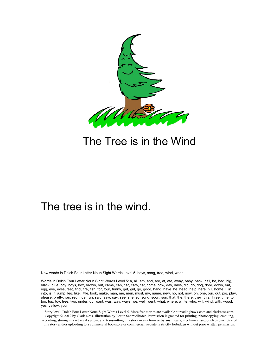

#### The Tree is in the Wind

#### The tree is in the wind.

New words in Dolch Four Letter Noun Sight Words Level 5: boys, song, tree, wind, wood

Words in Dolch Four Letter Noun Sight Words Level 5: a, all, am, and, are, at, ate, away, baby, back, ball, be, bed, big, black, blue, boy, boys, box, brown, but, came, can, car, cars, cat, come, cow, day, days, did, do, dog, door, down, eat, egg, eye, eyes, feet, find, fire, fish, for, four, funny, get, girl, go, good, hand, have, he, head, help, here, hill, home, I, in, into, is, it, jump, leg, like, little, look, make, man, me, men, must, my, name, new, no, not, now, on, one, our, out, pig, play, please, pretty, ran, red, ride, run, said, saw, say, see, she, so, song, soon, sun, that, the, there, they, this, three, time, to, too, top, toy, tree, two, under, up, want, was, way, ways, we, well, went, what, where, white, who, will, wind, with, wood, yes, yellow, you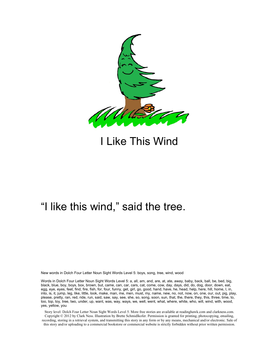

I Like This Wind

#### "I like this wind," said the tree.

New words in Dolch Four Letter Noun Sight Words Level 5: boys, song, tree, wind, wood

Words in Dolch Four Letter Noun Sight Words Level 5: a, all, am, and, are, at, ate, away, baby, back, ball, be, bed, big, black, blue, boy, boys, box, brown, but, came, can, car, cars, cat, come, cow, day, days, did, do, dog, door, down, eat, egg, eye, eyes, feet, find, fire, fish, for, four, funny, get, girl, go, good, hand, have, he, head, help, here, hill, home, I, in, into, is, it, jump, leg, like, little, look, make, man, me, men, must, my, name, new, no, not, now, on, one, our, out, pig, play, please, pretty, ran, red, ride, run, said, saw, say, see, she, so, song, soon, sun, that, the, there, they, this, three, time, to, too, top, toy, tree, two, under, up, want, was, way, ways, we, well, went, what, where, white, who, will, wind, with, wood, yes, yellow, you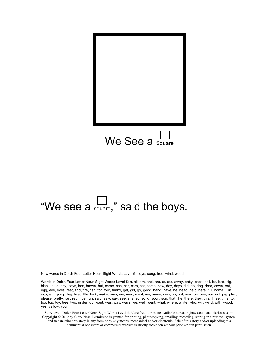

# "We see a square," said the boys.

New words in Dolch Four Letter Noun Sight Words Level 5: boys, song, tree, wind, wood

Words in Dolch Four Letter Noun Sight Words Level 5: a, all, am, and, are, at, ate, away, baby, back, ball, be, bed, big, black, blue, boy, boys, box, brown, but, came, can, car, cars, cat, come, cow, day, days, did, do, dog, door, down, eat, egg, eye, eyes, feet, find, fire, fish, for, four, funny, get, girl, go, good, hand, have, he, head, help, here, hill, home, I, in, into, is, it, jump, leg, like, little, look, make, man, me, men, must, my, name, new, no, not, now, on, one, our, out, pig, play, please, pretty, ran, red, ride, run, said, saw, say, see, she, so, song, soon, sun, that, the, there, they, this, three, time, to, too, top, toy, tree, two, under, up, want, was, way, ways, we, well, went, what, where, white, who, will, wind, with, wood, yes, yellow, you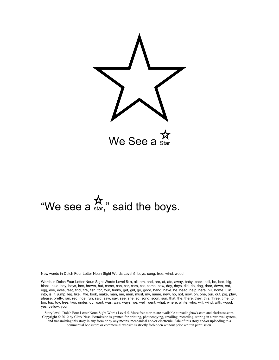

# "We see a  $\mathbf{\hat{x}}$ " said the boys.

New words in Dolch Four Letter Noun Sight Words Level 5: boys, song, tree, wind, wood

Words in Dolch Four Letter Noun Sight Words Level 5: a, all, am, and, are, at, ate, away, baby, back, ball, be, bed, big, black, blue, boy, boys, box, brown, but, came, can, car, cars, cat, come, cow, day, days, did, do, dog, door, down, eat, egg, eye, eyes, feet, find, fire, fish, for, four, funny, get, girl, go, good, hand, have, he, head, help, here, hill, home, I, in, into, is, it, jump, leg, like, little, look, make, man, me, men, must, my, name, new, no, not, now, on, one, our, out, pig, play, please, pretty, ran, red, ride, run, said, saw, say, see, she, so, song, soon, sun, that, the, there, they, this, three, time, to, too, top, toy, tree, two, under, up, want, was, way, ways, we, well, went, what, where, white, who, will, wind, with, wood, yes, yellow, you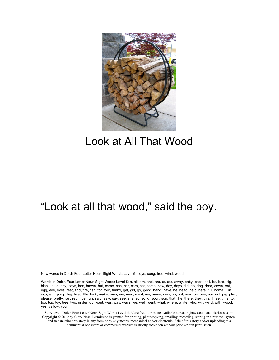

#### Look at All That Wood

#### "Look at all that wood," said the boy.

New words in Dolch Four Letter Noun Sight Words Level 5: boys, song, tree, wind, wood

Words in Dolch Four Letter Noun Sight Words Level 5: a, all, am, and, are, at, ate, away, baby, back, ball, be, bed, big, black, blue, boy, boys, box, brown, but, came, can, car, cars, cat, come, cow, day, days, did, do, dog, door, down, eat, egg, eye, eyes, feet, find, fire, fish, for, four, funny, get, girl, go, good, hand, have, he, head, help, here, hill, home, I, in, into, is, it, jump, leg, like, little, look, make, man, me, men, must, my, name, new, no, not, now, on, one, our, out, pig, play, please, pretty, ran, red, ride, run, said, saw, say, see, she, so, song, soon, sun, that, the, there, they, this, three, time, to, too, top, toy, tree, two, under, up, want, was, way, ways, we, well, went, what, where, white, who, will, wind, with, wood, yes, yellow, you